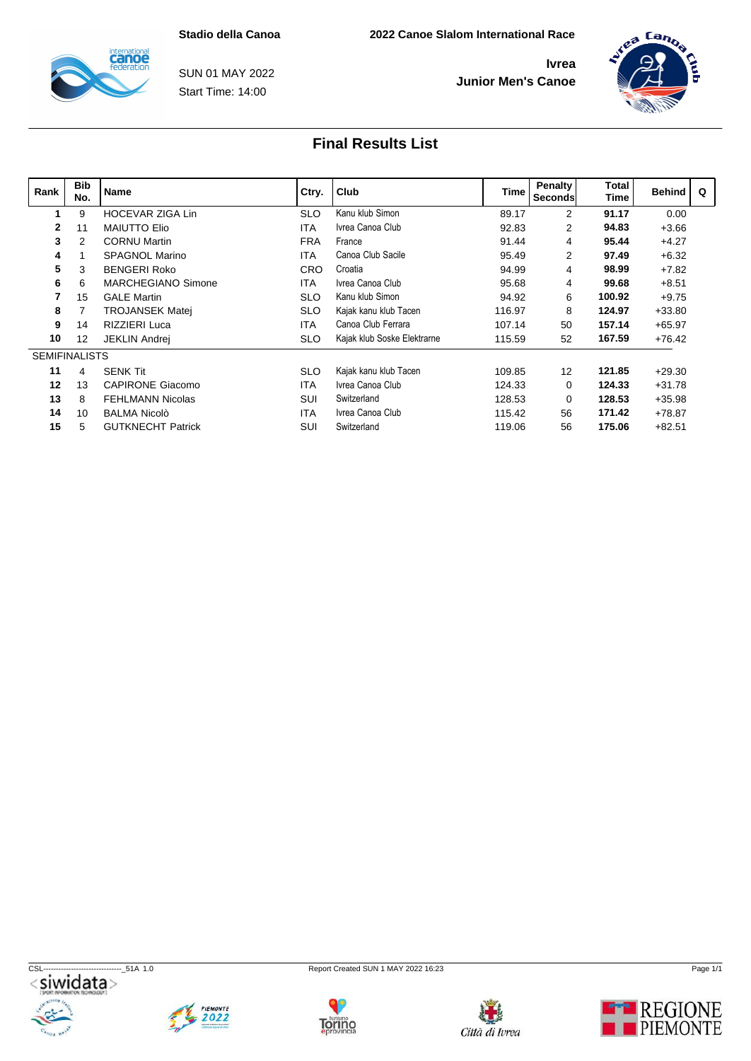

Start Time: 14:00 SUN 01 MAY 2022



| Rank                 | <b>Bib</b><br>No. | <b>Name</b>               | Ctry.      | Club                        |        | Penalty<br>Time   Seconds | Total<br><b>Time</b> | <b>Behind</b> | $\Omega$ |
|----------------------|-------------------|---------------------------|------------|-----------------------------|--------|---------------------------|----------------------|---------------|----------|
|                      | 9                 | HOCEVAR ZIGA Lin          | <b>SLO</b> | Kanu klub Simon             | 89.17  | $\overline{2}$            | 91.17                | 0.00          |          |
| $\mathbf{2}$         | 11                | <b>MAIUTTO Elio</b>       | <b>ITA</b> | Ivrea Canoa Club            | 92.83  | $\overline{2}$            | 94.83                | $+3.66$       |          |
| 3                    | $\overline{2}$    | <b>CORNU Martin</b>       | <b>FRA</b> | France                      | 91.44  | 4                         | 95.44                | $+4.27$       |          |
| 4                    |                   | <b>SPAGNOL Marino</b>     | <b>ITA</b> | Canoa Club Sacile           | 95.49  | $\overline{2}$            | 97.49                | $+6.32$       |          |
| 5                    | 3                 | <b>BENGERI Roko</b>       | <b>CRO</b> | Croatia                     | 94.99  | 4                         | 98.99                | $+7.82$       |          |
| 6                    | 6                 | <b>MARCHEGIANO Simone</b> | <b>ITA</b> | Ivrea Canoa Club            | 95.68  | 4                         | 99.68                | $+8.51$       |          |
|                      | 15                | <b>GALE Martin</b>        | <b>SLO</b> | Kanu klub Simon             | 94.92  | 6                         | 100.92               | $+9.75$       |          |
| 8                    |                   | <b>TROJANSEK Matej</b>    | <b>SLO</b> | Kajak kanu klub Tacen       | 116.97 | 8                         | 124.97               | $+33.80$      |          |
| 9                    | 14                | <b>RIZZIERI Luca</b>      | <b>ITA</b> | Canoa Club Ferrara          | 107.14 | 50                        | 157.14               | $+65.97$      |          |
| 10                   | 12                | <b>JEKLIN Andrei</b>      | <b>SLO</b> | Kajak klub Soske Elektrarne | 115.59 | 52                        | 167.59               | $+76.42$      |          |
| <b>SEMIFINALISTS</b> |                   |                           |            |                             |        |                           |                      |               |          |
| 11                   | 4                 | <b>SENK Tit</b>           | <b>SLO</b> | Kajak kanu klub Tacen       | 109.85 | 12                        | 121.85               | $+29.30$      |          |
| $12 \,$              | 13                | <b>CAPIRONE Giacomo</b>   | <b>ITA</b> | Ivrea Canoa Club            | 124.33 | $\Omega$                  | 124.33               | $+31.78$      |          |
| 13                   | 8                 | <b>FEHLMANN Nicolas</b>   | SUI        | Switzerland                 | 128.53 | $\Omega$                  | 128.53               | $+35.98$      |          |
| 14                   | 10                | <b>BALMA Nicolò</b>       | <b>ITA</b> | Ivrea Canoa Club            | 115.42 | 56                        | 171.42               | $+78.87$      |          |
| 15                   | 5                 | <b>GUTKNECHT Patrick</b>  | SUI        | Switzerland                 | 119.06 | 56                        | 175.06               | $+82.51$      |          |









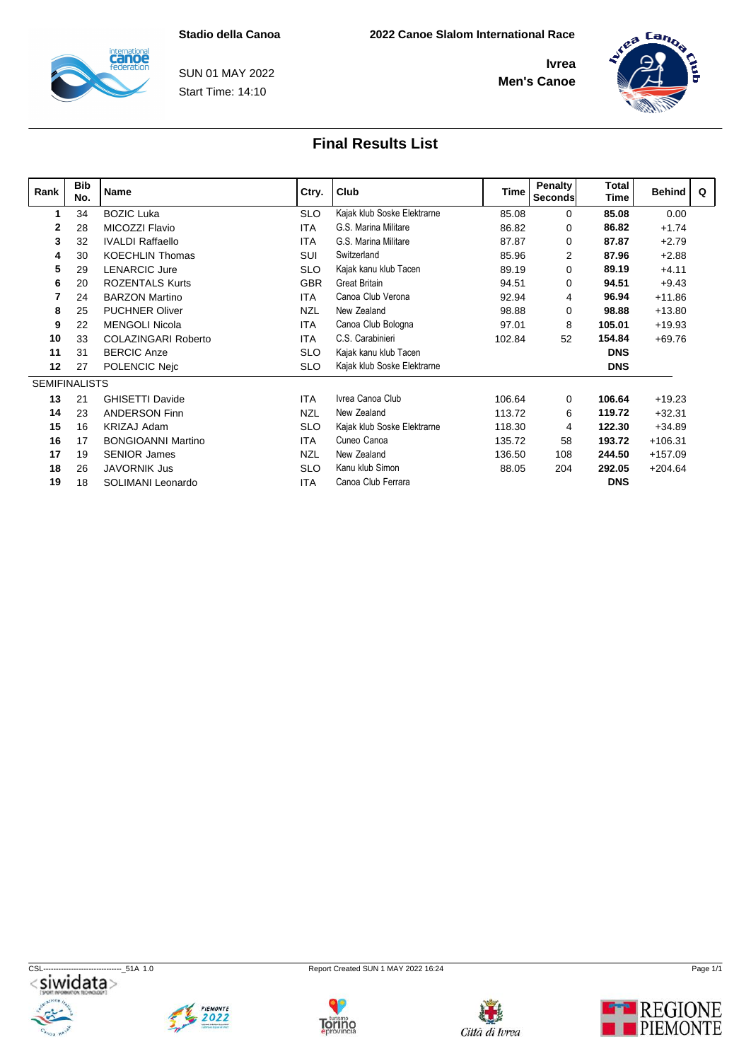

Start Time: 14:10 SUN 01 MAY 2022



### **Final Results List**

| Rank                 | <b>Bib</b><br>No. | Name                       | Ctry.      | Club                        | <b>Time</b> | <b>Penalty</b><br>Seconds | <b>Total</b><br>Time | <b>Behind</b> | $\Omega$ |
|----------------------|-------------------|----------------------------|------------|-----------------------------|-------------|---------------------------|----------------------|---------------|----------|
|                      | 34                | <b>BOZIC Luka</b>          | <b>SLO</b> | Kajak klub Soske Elektrarne | 85.08       | $\mathbf 0$               | 85.08                | 0.00          |          |
| 2                    | 28                | MICOZZI Flavio             | <b>ITA</b> | G.S. Marina Militare        | 86.82       | 0                         | 86.82                | $+1.74$       |          |
| 3                    | 32                | <b>IVALDI Raffaello</b>    | <b>ITA</b> | G.S. Marina Militare        | 87.87       | $\Omega$                  | 87.87                | $+2.79$       |          |
| 4                    | 30                | <b>KOECHLIN Thomas</b>     | SUI        | Switzerland                 | 85.96       | $\overline{2}$            | 87.96                | $+2.88$       |          |
| 5                    | 29                | <b>LENARCIC Jure</b>       | <b>SLO</b> | Kajak kanu klub Tacen       | 89.19       | $\mathbf 0$               | 89.19                | $+4.11$       |          |
| 6                    | 20                | <b>ROZENTALS Kurts</b>     | <b>GBR</b> | Great Britain               | 94.51       | $\mathbf 0$               | 94.51                | $+9.43$       |          |
|                      | 24                | <b>BARZON Martino</b>      | <b>ITA</b> | Canoa Club Verona           | 92.94       | 4                         | 96.94                | $+11.86$      |          |
| 8                    | 25                | <b>PUCHNER Oliver</b>      | <b>NZL</b> | New Zealand                 | 98.88       | 0                         | 98.88                | $+13.80$      |          |
| 9                    | 22                | <b>MENGOLI Nicola</b>      | <b>ITA</b> | Canoa Club Bologna          | 97.01       | 8                         | 105.01               | $+19.93$      |          |
| 10                   | 33                | <b>COLAZINGARI Roberto</b> | <b>ITA</b> | C.S. Carabinieri            | 102.84      | 52                        | 154.84               | $+69.76$      |          |
| 11                   | 31                | <b>BERCIC Anze</b>         | <b>SLO</b> | Kajak kanu klub Tacen       |             |                           | <b>DNS</b>           |               |          |
| 12                   | 27                | POLENCIC Nejc              | <b>SLO</b> | Kajak klub Soske Elektrarne |             |                           | <b>DNS</b>           |               |          |
| <b>SEMIFINALISTS</b> |                   |                            |            |                             |             |                           |                      |               |          |
| 13                   | 21                | <b>GHISETTI Davide</b>     | <b>ITA</b> | Ivrea Canoa Club            | 106.64      | $\Omega$                  | 106.64               | $+19.23$      |          |
| 14                   | 23                | <b>ANDERSON Finn</b>       | <b>NZL</b> | New Zealand                 | 113.72      | 6                         | 119.72               | $+32.31$      |          |
| 15                   | 16                | <b>KRIZAJ Adam</b>         | <b>SLO</b> | Kajak klub Soske Elektrarne | 118.30      | 4                         | 122.30               | $+34.89$      |          |
| 16                   | 17                | <b>BONGIOANNI Martino</b>  | <b>ITA</b> | Cuneo Canoa                 | 135.72      | 58                        | 193.72               | $+106.31$     |          |
| 17                   | 19                | <b>SENIOR James</b>        | <b>NZL</b> | New Zealand                 | 136.50      | 108                       | 244.50               | $+157.09$     |          |
| 18                   | 26                | <b>JAVORNIK Jus</b>        | <b>SLO</b> | Kanu klub Simon             | 88.05       | 204                       | 292.05               | $+204.64$     |          |
| 19                   | 18                | SOLIMANI Leonardo          | <b>ITA</b> | Canoa Club Ferrara          |             |                           | <b>DNS</b>           |               |          |

CSL-------------------------------\_51A 1.0 Report Created SUN 1 MAY 2022 16:24 Page 1/1







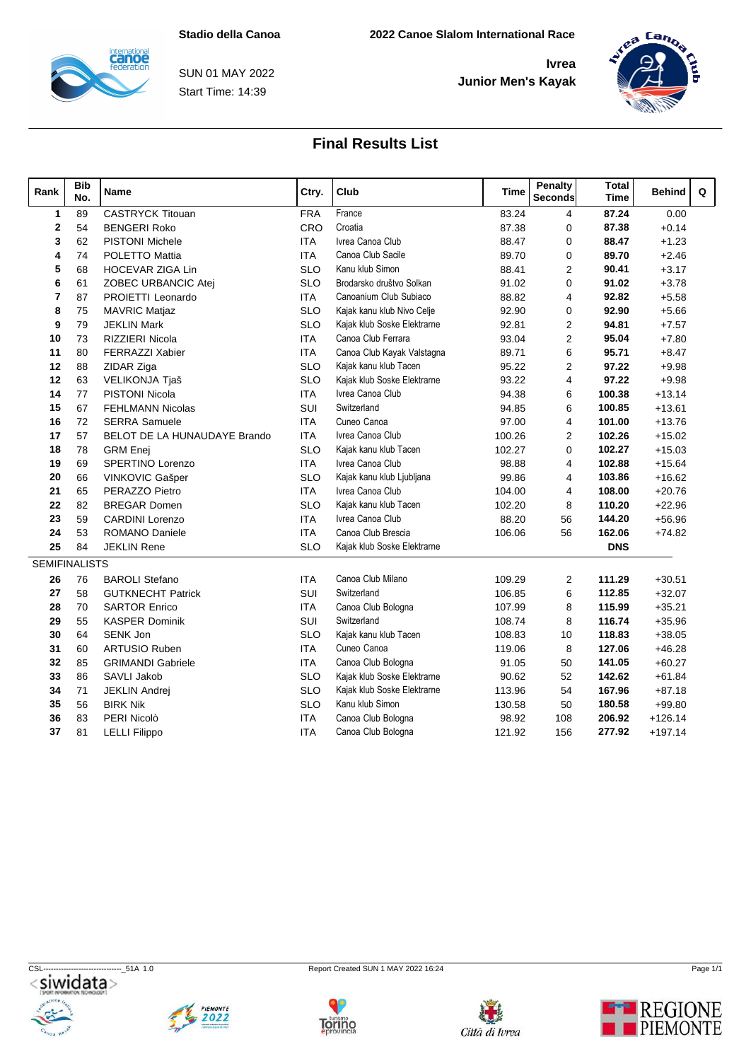

Start Time: 14:39 SUN 01 MAY 2022



### **Final Results List**

| Rank                 | <b>Bib</b><br>No. | Name                         | Ctry.      | Club                        | Time   | <b>Penalty</b><br><b>Seconds</b> | <b>Total</b><br><b>Time</b> | Behind    | Q |  |
|----------------------|-------------------|------------------------------|------------|-----------------------------|--------|----------------------------------|-----------------------------|-----------|---|--|
| $\mathbf{1}$         | 89                | <b>CASTRYCK Titouan</b>      | <b>FRA</b> | France                      | 83.24  | $\overline{4}$                   | 87.24                       | 0.00      |   |  |
| $\mathbf{2}$         | 54                | <b>BENGERI Roko</b>          | CRO        | Croatia                     | 87.38  | $\mathbf 0$                      | 87.38                       | $+0.14$   |   |  |
| 3                    | 62                | <b>PISTONI Michele</b>       | <b>ITA</b> | Ivrea Canoa Club            | 88.47  | $\mathbf 0$                      | 88.47                       | $+1.23$   |   |  |
| 4                    | 74                | <b>POLETTO Mattia</b>        | <b>ITA</b> | Canoa Club Sacile           | 89.70  | $\mathbf 0$                      | 89.70                       | $+2.46$   |   |  |
| 5                    | 68                | <b>HOCEVAR ZIGA Lin</b>      | <b>SLO</b> | Kanu klub Simon             | 88.41  | $\overline{2}$                   | 90.41                       | $+3.17$   |   |  |
| 6                    | 61                | ZOBEC URBANCIC Atej          | <b>SLO</b> | Brodarsko društvo Solkan    | 91.02  | $\mathbf 0$                      | 91.02                       | $+3.78$   |   |  |
| $\overline{7}$       | 87                | PROIETTI Leonardo            | <b>ITA</b> | Canoanium Club Subiaco      | 88.82  | $\overline{4}$                   | 92.82                       | $+5.58$   |   |  |
| 8                    | 75                | <b>MAVRIC Matjaz</b>         | <b>SLO</b> | Kajak kanu klub Nivo Celje  | 92.90  | $\mathbf 0$                      | 92.90                       | $+5.66$   |   |  |
| 9                    | 79                | <b>JEKLIN Mark</b>           | <b>SLO</b> | Kajak klub Soske Elektrarne | 92.81  | 2                                | 94.81                       | $+7.57$   |   |  |
| 10                   | 73                | <b>RIZZIERI Nicola</b>       | <b>ITA</b> | Canoa Club Ferrara          | 93.04  | 2                                | 95.04                       | $+7.80$   |   |  |
| 11                   | 80                | <b>FERRAZZI Xabier</b>       | <b>ITA</b> | Canoa Club Kayak Valstagna  | 89.71  | 6                                | 95.71                       | $+8.47$   |   |  |
| 12                   | 88                | ZIDAR Ziga                   | <b>SLO</b> | Kajak kanu klub Tacen       | 95.22  | $\overline{2}$                   | 97.22                       | $+9.98$   |   |  |
| 12                   | 63                | VELIKONJA Tjaš               | <b>SLO</b> | Kajak klub Soske Elektrarne | 93.22  | $\overline{4}$                   | 97.22                       | $+9.98$   |   |  |
| 14                   | 77                | PISTONI Nicola               | ITA        | Ivrea Canoa Club            | 94.38  | 6                                | 100.38                      | $+13.14$  |   |  |
| 15                   | 67                | <b>FEHLMANN Nicolas</b>      | SUI        | Switzerland                 | 94.85  | 6                                | 100.85                      | $+13.61$  |   |  |
| 16                   | 72                | <b>SERRA Samuele</b>         | <b>ITA</b> | Cuneo Canoa                 | 97.00  | $\overline{4}$                   | 101.00                      | $+13.76$  |   |  |
| 17                   | 57                | BELOT DE LA HUNAUDAYE Brando | <b>ITA</b> | Ivrea Canoa Club            | 100.26 | $\overline{2}$                   | 102.26                      | $+15.02$  |   |  |
| 18                   | 78                | <b>GRM</b> Enej              | <b>SLO</b> | Kajak kanu klub Tacen       | 102.27 | $\mathbf 0$                      | 102.27                      | $+15.03$  |   |  |
| 19                   | 69                | SPERTINO Lorenzo             | <b>ITA</b> | Ivrea Canoa Club            | 98.88  | $\overline{4}$                   | 102.88                      | $+15.64$  |   |  |
| 20                   | 66                | VINKOVIC Gašper              | <b>SLO</b> | Kajak kanu klub Ljubljana   | 99.86  | $\overline{4}$                   | 103.86                      | $+16.62$  |   |  |
| 21                   | 65                | PERAZZO Pietro               | <b>ITA</b> | Ivrea Canoa Club            | 104.00 | $\overline{4}$                   | 108.00                      | $+20.76$  |   |  |
| 22                   | 82                | <b>BREGAR Domen</b>          | <b>SLO</b> | Kajak kanu klub Tacen       | 102.20 | 8                                | 110.20                      | $+22.96$  |   |  |
| 23                   | 59                | <b>CARDINI Lorenzo</b>       | <b>ITA</b> | Ivrea Canoa Club            | 88.20  | 56                               | 144.20                      | $+56.96$  |   |  |
| 24                   | 53                | <b>ROMANO Daniele</b>        | <b>ITA</b> | Canoa Club Brescia          | 106.06 | 56                               | 162.06                      | $+74.82$  |   |  |
| 25                   | 84                | <b>JEKLIN Rene</b>           | <b>SLO</b> | Kajak klub Soske Elektrarne |        |                                  | <b>DNS</b>                  |           |   |  |
| <b>SEMIFINALISTS</b> |                   |                              |            |                             |        |                                  |                             |           |   |  |
| 26                   | 76                | <b>BAROLI Stefano</b>        | <b>ITA</b> | Canoa Club Milano           | 109.29 | $\overline{2}$                   | 111.29                      | $+30.51$  |   |  |
| 27                   | 58                | <b>GUTKNECHT Patrick</b>     | SUI        | Switzerland                 | 106.85 | 6                                | 112.85                      | $+32.07$  |   |  |
| 28                   | 70                | <b>SARTOR Enrico</b>         | <b>ITA</b> | Canoa Club Bologna          | 107.99 | 8                                | 115.99                      | $+35.21$  |   |  |
| 29                   | 55                | <b>KASPER Dominik</b>        | SUI        | Switzerland                 | 108.74 | 8                                | 116.74                      | $+35.96$  |   |  |
| 30                   | 64                | <b>SENK Jon</b>              | <b>SLO</b> | Kajak kanu klub Tacen       | 108.83 | 10                               | 118.83                      | $+38.05$  |   |  |
| 31                   | 60                | <b>ARTUSIO Ruben</b>         | <b>ITA</b> | Cuneo Canoa                 | 119.06 | 8                                | 127.06                      | $+46.28$  |   |  |
| 32                   | 85                | <b>GRIMANDI Gabriele</b>     | <b>ITA</b> | Canoa Club Bologna          | 91.05  | 50                               | 141.05                      | $+60.27$  |   |  |
| 33                   | 86                | SAVLI Jakob                  | <b>SLO</b> | Kajak klub Soske Elektrarne | 90.62  | 52                               | 142.62                      | $+61.84$  |   |  |
| 34                   | 71                | <b>JEKLIN Andrei</b>         | <b>SLO</b> | Kajak klub Soske Elektrarne | 113.96 | 54                               | 167.96                      | $+87.18$  |   |  |
| 35                   | 56                | <b>BIRK Nik</b>              | <b>SLO</b> | Kanu klub Simon             | 130.58 | 50                               | 180.58                      | $+99.80$  |   |  |
| 36                   | 83                | PERI Nicolò                  | <b>ITA</b> | Canoa Club Bologna          | 98.92  | 108                              | 206.92                      | $+126.14$ |   |  |
| 37                   | 81                | <b>LELLI Filippo</b>         | <b>ITA</b> | Canoa Club Bologna          | 121.92 | 156                              | 277.92                      | $+197.14$ |   |  |

CSL-------------------------------\_51A 1.0 Report Created SUN 1 MAY 2022 16:24 Page 1/1









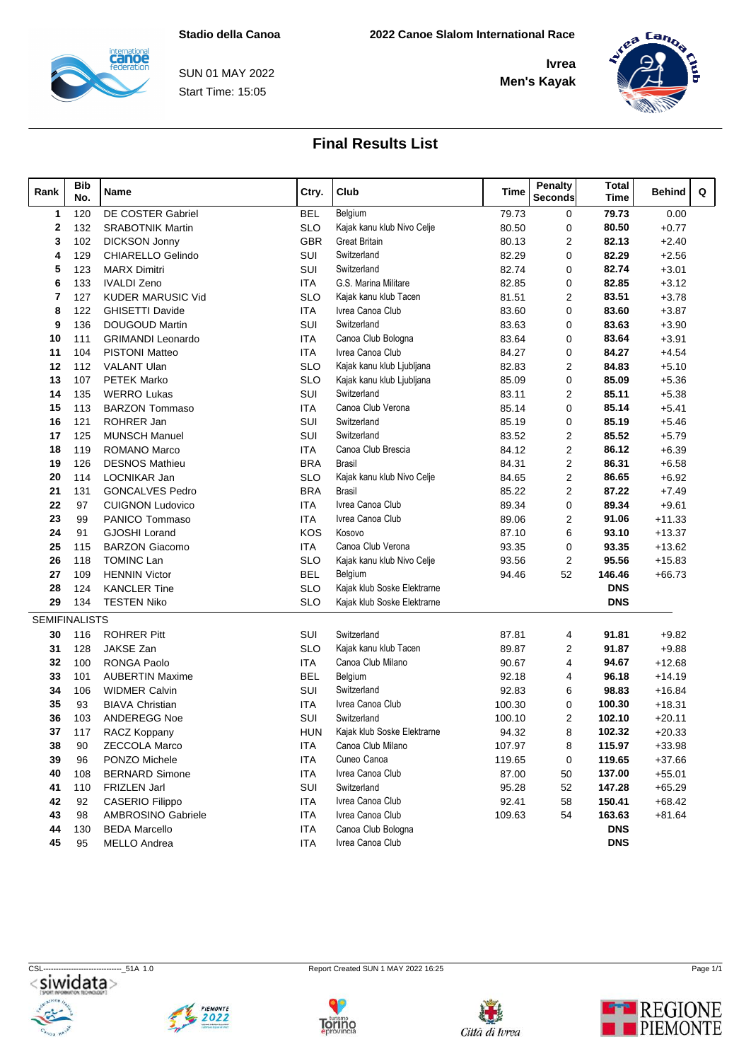

Start Time: 15:05 SUN 01 MAY 2022



# **Final Results List**

| Rank                 | Bib<br>No. | Name                     | Ctry.      | Club                        | Time   | Penalty<br><b>Seconds</b> | <b>Total</b><br><b>Time</b> | Q<br><b>Behind</b> |  |
|----------------------|------------|--------------------------|------------|-----------------------------|--------|---------------------------|-----------------------------|--------------------|--|
| 1                    | 120        | DE COSTER Gabriel        | <b>BEL</b> | Belgium                     | 79.73  | 0                         | 79.73                       | 0.00               |  |
| 2                    | 132        | <b>SRABOTNIK Martin</b>  | <b>SLO</b> | Kajak kanu klub Nivo Celje  | 80.50  | $\mathbf 0$               | 80.50                       | $+0.77$            |  |
| 3                    | 102        | <b>DICKSON Jonny</b>     | <b>GBR</b> | <b>Great Britain</b>        | 80.13  | 2                         | 82.13                       | $+2.40$            |  |
| 4                    | 129        | CHIARELLO Gelindo        | SUI        | Switzerland                 | 82.29  | $\Omega$                  | 82.29                       | $+2.56$            |  |
| 5                    | 123        | <b>MARX Dimitri</b>      | SUI        | Switzerland                 | 82.74  | 0                         | 82.74                       | $+3.01$            |  |
| 6                    | 133        | <b>IVALDI Zeno</b>       | <b>ITA</b> | G.S. Marina Militare        | 82.85  | 0                         | 82.85                       | $+3.12$            |  |
| 7                    | 127        | <b>KUDER MARUSIC Vid</b> | <b>SLO</b> | Kajak kanu klub Tacen       | 81.51  | 2                         | 83.51                       | $+3.78$            |  |
| 8                    | 122        | <b>GHISETTI Davide</b>   | <b>ITA</b> | Ivrea Canoa Club            | 83.60  | 0                         | 83.60                       | $+3.87$            |  |
| 9                    | 136        | <b>DOUGOUD Martin</b>    | SUI        | Switzerland                 | 83.63  | 0                         | 83.63                       | $+3.90$            |  |
| 10                   | 111        | <b>GRIMANDI Leonardo</b> | ITA        | Canoa Club Bologna          | 83.64  | 0                         | 83.64                       | $+3.91$            |  |
| 11                   | 104        | <b>PISTONI Matteo</b>    | <b>ITA</b> | Ivrea Canoa Club            | 84.27  | 0                         | 84.27                       | $+4.54$            |  |
| 12                   | 112        | <b>VALANT Ulan</b>       | <b>SLO</b> | Kajak kanu klub Ljubljana   | 82.83  | 2                         | 84.83                       | $+5.10$            |  |
| 13                   | 107        | <b>PETEK Marko</b>       | <b>SLO</b> | Kajak kanu klub Ljubljana   | 85.09  | $\mathbf 0$               | 85.09                       | $+5.36$            |  |
| 14                   | 135        | <b>WERRO Lukas</b>       | SUI        | Switzerland                 | 83.11  | 2                         | 85.11                       | $+5.38$            |  |
| 15                   | 113        | <b>BARZON Tommaso</b>    | <b>ITA</b> | Canoa Club Verona           | 85.14  | 0                         | 85.14                       | $+5.41$            |  |
| 16                   | 121        | ROHRER Jan               | SUI        | Switzerland                 | 85.19  | 0                         | 85.19                       | $+5.46$            |  |
| 17                   | 125        | <b>MUNSCH Manuel</b>     | SUI        | Switzerland                 | 83.52  | 2                         | 85.52                       | $+5.79$            |  |
| 18                   | 119        | ROMANO Marco             | <b>ITA</b> | Canoa Club Brescia          | 84.12  | 2                         | 86.12                       | $+6.39$            |  |
| 19                   | 126        | <b>DESNOS Mathieu</b>    | <b>BRA</b> | <b>Brasil</b>               | 84.31  | $\overline{2}$            | 86.31                       | $+6.58$            |  |
| 20                   | 114        | LOCNIKAR Jan             | <b>SLO</b> | Kajak kanu klub Nivo Celje  | 84.65  | 2                         | 86.65                       | $+6.92$            |  |
| 21                   | 131        | <b>GONCALVES Pedro</b>   | <b>BRA</b> | <b>Brasil</b>               | 85.22  | 2                         | 87.22                       | $+7.49$            |  |
| 22                   | 97         | <b>CUIGNON Ludovico</b>  | ITA        | Ivrea Canoa Club            | 89.34  | 0                         | 89.34                       | $+9.61$            |  |
| 23                   | 99         | PANICO Tommaso           | ITA        | Ivrea Canoa Club            | 89.06  | 2                         | 91.06                       | $+11.33$           |  |
| 24                   | 91         | <b>GJOSHI Lorand</b>     | KOS        | Kosovo                      | 87.10  | 6                         | 93.10                       | $+13.37$           |  |
| 25                   | 115        | <b>BARZON Giacomo</b>    | <b>ITA</b> | Canoa Club Verona           | 93.35  | $\mathbf 0$               | 93.35                       | $+13.62$           |  |
| 26                   | 118        | <b>TOMINC Lan</b>        | <b>SLO</b> | Kajak kanu klub Nivo Celje  | 93.56  | 2                         | 95.56                       | $+15.83$           |  |
| 27                   | 109        | <b>HENNIN Victor</b>     | <b>BEL</b> | Belgium                     | 94.46  | 52                        | 146.46                      | $+66.73$           |  |
| 28                   | 124        | <b>KANCLER Tine</b>      | <b>SLO</b> | Kajak klub Soske Elektrarne |        |                           | <b>DNS</b>                  |                    |  |
| 29                   | 134        | <b>TESTEN Niko</b>       | <b>SLO</b> | Kajak klub Soske Elektrarne |        |                           | <b>DNS</b>                  |                    |  |
| <b>SEMIFINALISTS</b> |            |                          |            |                             |        |                           |                             |                    |  |
| 30                   | 116        | <b>ROHRER Pitt</b>       | SUI        | Switzerland                 | 87.81  | 4                         | 91.81                       | $+9.82$            |  |
| 31                   | 128        | JAKSE Zan                | <b>SLO</b> | Kajak kanu klub Tacen       | 89.87  | 2                         | 91.87                       | $+9.88$            |  |
| 32                   | 100        | <b>RONGA Paolo</b>       | <b>ITA</b> | Canoa Club Milano           | 90.67  | 4                         | 94.67                       | $+12.68$           |  |
| 33                   | 101        | <b>AUBERTIN Maxime</b>   | <b>BEL</b> | Belgium                     | 92.18  | 4                         | 96.18                       | $+14.19$           |  |
| 34                   | 106        | <b>WIDMER Calvin</b>     | SUI        | Switzerland                 | 92.83  | 6                         | 98.83                       | $+16.84$           |  |
| 35                   | 93         | <b>BIAVA Christian</b>   | ITA        | Ivrea Canoa Club            | 100.30 | 0                         | 100.30                      | $+18.31$           |  |
| 36                   | 103        | ANDEREGG Noe             | SUI        | Switzerland                 | 100.10 | 2                         | 102.10                      | $+20.11$           |  |
| 37                   | 117        | RACZ Koppany             | HUN        | Kajak klub Soske Elektrarne | 94.32  | 8                         | 102.32                      | $+20.33$           |  |
| 38                   | 90         | <b>ZECCOLA Marco</b>     | <b>ITA</b> | Canoa Club Milano           | 107.97 | 8                         | 115.97                      | +33.98             |  |
| 39                   | 96         | PONZO Michele            | <b>ITA</b> | Cuneo Canoa                 | 119.65 | 0                         | 119.65                      | $+37.66$           |  |
| 40                   | 108        | <b>BERNARD Simone</b>    | ITA        | Ivrea Canoa Club            | 87.00  | 50                        | 137.00                      | $+55.01$           |  |
| 41                   | 110        | <b>FRIZLEN Jarl</b>      | SUI        | Switzerland                 | 95.28  | 52                        | 147.28                      | $+65.29$           |  |
| 42                   | 92         | CASERIO Filippo          | <b>ITA</b> | Ivrea Canoa Club            | 92.41  | 58                        | 150.41                      | $+68.42$           |  |
| 43                   | 98         | AMBROSINO Gabriele       | <b>ITA</b> | Ivrea Canoa Club            | 109.63 | 54                        | 163.63                      | $+81.64$           |  |
| 44                   | 130        | <b>BEDA Marcello</b>     | <b>ITA</b> | Canoa Club Bologna          |        |                           | <b>DNS</b>                  |                    |  |
| 45                   | 95         | <b>MELLO Andrea</b>      | <b>ITA</b> | Ivrea Canoa Club            |        |                           | <b>DNS</b>                  |                    |  |
|                      |            |                          |            |                             |        |                           |                             |                    |  |

CSL-------------------------------\_51A 1.0 Report Created SUN 1 MAY 2022 16:25 Page 1/1







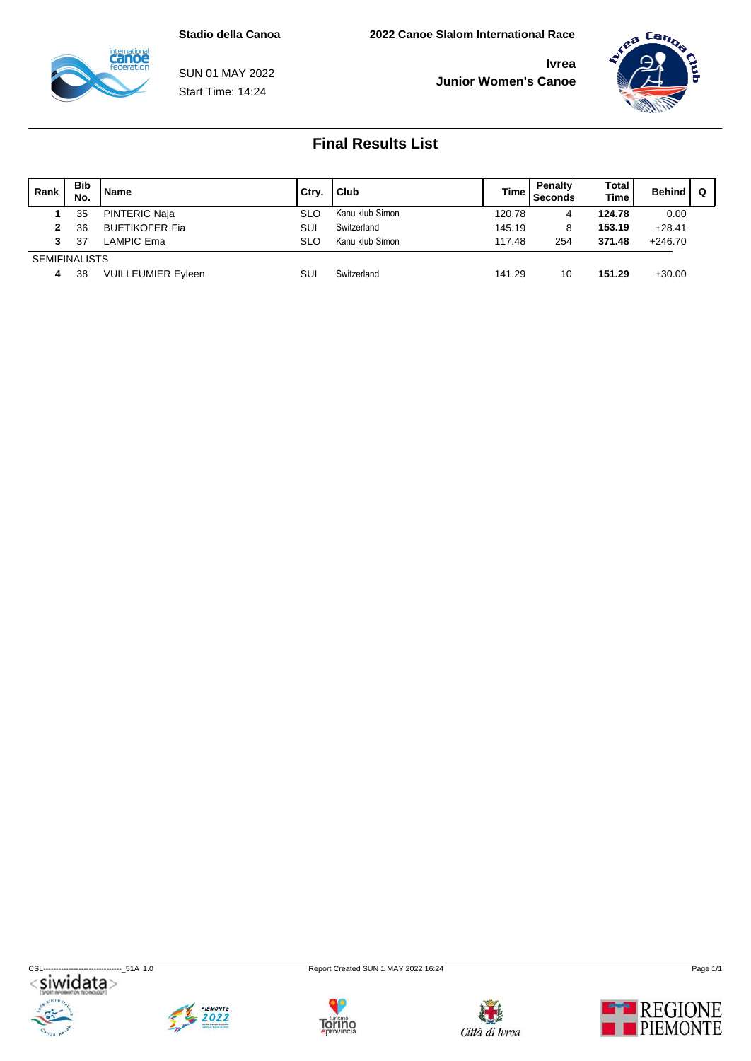

Start Time: 14:24 SUN 01 MAY 2022



| Rank                 | <b>Bib</b><br>No. | <b>Name</b>               | Ctry       | Club            | <b>Time</b> | Penalty<br><b>Seconds</b> | Total<br><b>Time</b> | <b>Behind</b> |  |
|----------------------|-------------------|---------------------------|------------|-----------------|-------------|---------------------------|----------------------|---------------|--|
|                      | 35                | <b>PINTERIC Naja</b>      | <b>SLO</b> | Kanu klub Simon | 120.78      | 4                         | 124.78               | 0.00          |  |
|                      | 36                | <b>BUETIKOFER Fia</b>     | SUI        | Switzerland     | 145.19      | 8                         | 153.19               | $+28.41$      |  |
| 3.                   | 37                | <b>LAMPIC Ema</b>         | <b>SLO</b> | Kanu klub Simon | 117.48      | 254                       | 371.48               | $+246.70$     |  |
| <b>SEMIFINALISTS</b> |                   |                           |            |                 |             |                           |                      |               |  |
| 4                    | 38                | <b>VUILLEUMIER Eyleen</b> | SUI        | Switzerland     | 141.29      | 10                        | 151.29               | $+30.00$      |  |









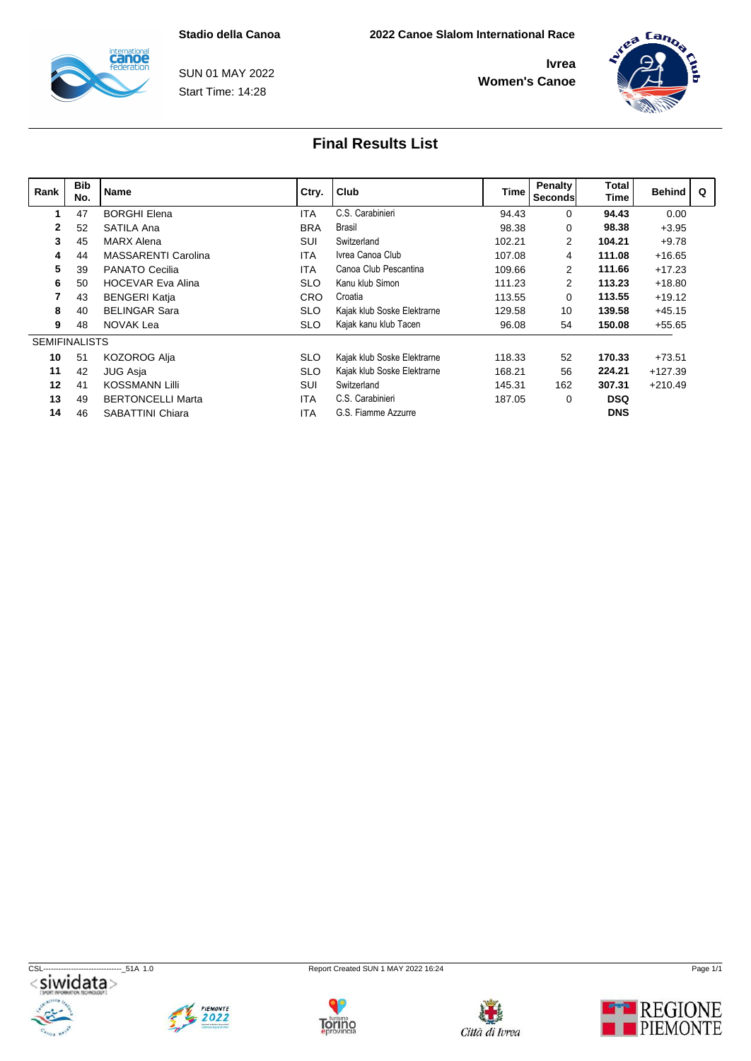

Start Time: 14:28 SUN 01 MAY 2022



| Rank                 | <b>Bib</b><br>No. | Name                       | Ctry.      | Club                        | Time   | Penalty<br><b>Seconds</b> | Total<br><b>Time</b> | Behind    | $\Omega$ |
|----------------------|-------------------|----------------------------|------------|-----------------------------|--------|---------------------------|----------------------|-----------|----------|
|                      | 47                | <b>BORGHI Elena</b>        | <b>ITA</b> | C.S. Carabinieri            | 94.43  | $\mathbf{0}$              | 94.43                | 0.00      |          |
| $\mathbf{2}$         | 52                | SATILA Ana                 | <b>BRA</b> | Brasil                      | 98.38  | $\mathbf{0}$              | 98.38                | $+3.95$   |          |
| 3                    | 45                | <b>MARX Alena</b>          | SUI        | Switzerland                 | 102.21 | $\mathbf{2}$              | 104.21               | $+9.78$   |          |
|                      | 44                | <b>MASSARENTI Carolina</b> | <b>ITA</b> | Ivrea Canoa Club            | 107.08 | 4                         | 111.08               | $+16.65$  |          |
| 5                    | 39                | <b>PANATO Cecilia</b>      | <b>ITA</b> | Canoa Club Pescantina       | 109.66 | $\mathbf{2}$              | 111.66               | $+17.23$  |          |
| 6                    | 50                | <b>HOCEVAR Eva Alina</b>   | <b>SLO</b> | Kanu klub Simon             | 111.23 | 2                         | 113.23               | $+18.80$  |          |
|                      | 43                | <b>BENGERI Katja</b>       | <b>CRO</b> | Croatia                     | 113.55 | $\Omega$                  | 113.55               | $+19.12$  |          |
| 8                    | 40                | <b>BELINGAR Sara</b>       | <b>SLO</b> | Kajak klub Soske Elektrarne | 129.58 | 10                        | 139.58               | $+45.15$  |          |
| 9                    | 48                | NOVAK Lea                  | <b>SLO</b> | Kajak kanu klub Tacen       | 96.08  | 54                        | 150.08               | $+55.65$  |          |
| <b>SEMIFINALISTS</b> |                   |                            |            |                             |        |                           |                      |           |          |
| 10                   | 51                | KOZOROG Alja               | <b>SLO</b> | Kajak klub Soske Elektrarne | 118.33 | 52                        | 170.33               | $+73.51$  |          |
| 11                   | 42                | JUG Asja                   | <b>SLO</b> | Kajak klub Soske Elektrarne | 168.21 | 56                        | 224.21               | $+127.39$ |          |
| 12                   | 41                | KOSSMANN Lilli             | SUI        | Switzerland                 | 145.31 | 162                       | 307.31               | $+210.49$ |          |
| 13                   | 49                | <b>BERTONCELLI Marta</b>   | <b>ITA</b> | C.S. Carabinieri            | 187.05 | $\Omega$                  | <b>DSQ</b>           |           |          |
| 14                   | 46                | SABATTINI Chiara           | <b>ITA</b> | G.S. Fiamme Azzurre         |        |                           | <b>DNS</b>           |           |          |









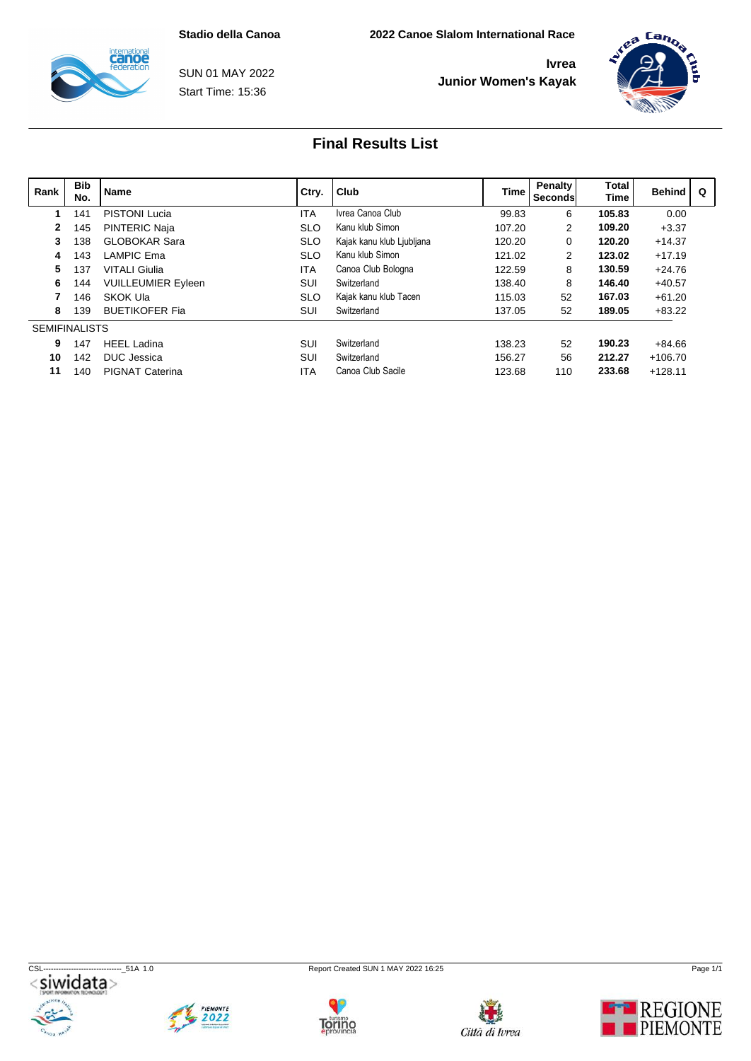

Start Time: 15:36 SUN 01 MAY 2022



| Rank                 | <b>Bib</b><br>No. | Name                      | Ctry.      | Club                      | <b>Time</b> | Penalty<br><b>Seconds</b> | Total<br><b>Time</b> | <b>Behind</b> | $\Omega$ |
|----------------------|-------------------|---------------------------|------------|---------------------------|-------------|---------------------------|----------------------|---------------|----------|
|                      | 141               | <b>PISTONI Lucia</b>      | <b>ITA</b> | Ivrea Canoa Club          | 99.83       | 6                         | 105.83               | 0.00          |          |
| 2                    | 145               | <b>PINTERIC Naja</b>      | <b>SLO</b> | Kanu klub Simon           | 107.20      | $\mathbf{2}$              | 109.20               | $+3.37$       |          |
|                      | 138               | <b>GLOBOKAR Sara</b>      | <b>SLO</b> | Kajak kanu klub Ljubljana | 120.20      | $\mathbf{0}$              | 120.20               | $+14.37$      |          |
| 4                    | 143               | LAMPIC Ema                | <b>SLO</b> | Kanu klub Simon           | 121.02      | $\mathbf{2}$              | 123.02               | $+17.19$      |          |
|                      | 137               | <b>VITALI Giulia</b>      | <b>ITA</b> | Canoa Club Bologna        | 122.59      | 8                         | 130.59               | $+24.76$      |          |
| 6                    | 144               | <b>VUILLEUMIER Eyleen</b> | SUI        | Switzerland               | 138.40      | 8                         | 146.40               | $+40.57$      |          |
|                      | 146               | SKOK Ula                  | <b>SLO</b> | Kajak kanu klub Tacen     | 115.03      | 52                        | 167.03               | $+61.20$      |          |
| 8                    | 139               | <b>BUETIKOFER Fia</b>     | SUI        | Switzerland               | 137.05      | 52                        | 189.05               | $+83.22$      |          |
| <b>SEMIFINALISTS</b> |                   |                           |            |                           |             |                           |                      |               |          |
| 9                    | 147               | <b>HEEL Ladina</b>        | SUI        | Switzerland               | 138.23      | 52                        | 190.23               | $+84.66$      |          |
| 10                   | 142               | DUC Jessica               | SUI        | Switzerland               | 156.27      | 56                        | 212.27               | $+106.70$     |          |
| 11                   | 140               | <b>PIGNAT Caterina</b>    | <b>ITA</b> | Canoa Club Sacile         | 123.68      | 110                       | 233.68               | $+128.11$     |          |